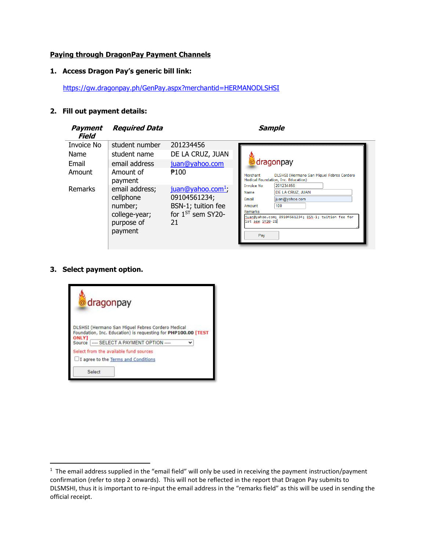### **Paying through DragonPay Payment Channels**

### **1. Access Dragon Pay's generic bill link:**

<https://gw.dragonpay.ph/GenPay.aspx?merchantid=HERMANODLSHSI>

### **2. Fill out payment details:**

| <b>Payment</b><br>Field               | <b>Required Data</b>                                                             |                                                                                                     | <b>Sample</b>                                                                                                                                                                                                                                                                                                                   |
|---------------------------------------|----------------------------------------------------------------------------------|-----------------------------------------------------------------------------------------------------|---------------------------------------------------------------------------------------------------------------------------------------------------------------------------------------------------------------------------------------------------------------------------------------------------------------------------------|
| Invoice No<br>Name<br>Email<br>Amount | student number<br>student name<br>email address<br>Amount of<br>payment          | 201234456<br>DE LA CRUZ, JUAN<br>juan@yahoo.com<br><b>₱</b> 100                                     | @ dragonpay<br>Merchant<br>DLSHSI (Hermano San Miguel Febres Cordero<br>Medical Foundation, Inc. Education)<br>201234456<br><b>Invoice No</b><br>DE LA CRUZ, JUAN<br><b>Name</b><br>juan@yahoo.com<br>Email<br>100<br>Amount<br><b>Remarks</b><br>juan@yahoo.com; 09104561234; BSN-1; tuition fee for<br>1st sem SY20-21<br>Pay |
| Remarks                               | email address;<br>cellphone<br>number;<br>college-year;<br>purpose of<br>payment | juan@yahoo.com <sup>1</sup> ;<br>09104561234;<br>BSN-1; tuition fee<br>for $1^{ST}$ sem SY20-<br>21 |                                                                                                                                                                                                                                                                                                                                 |

## **3. Select payment option.**

 $\overline{a}$ 



 $1$  The email address supplied in the "email field" will only be used in receiving the payment instruction/payment confirmation (refer to step 2 onwards). This will not be reflected in the report that Dragon Pay submits to DLSMSHI, thus it is important to re-input the email address in the "remarks field" as this will be used in sending the official receipt.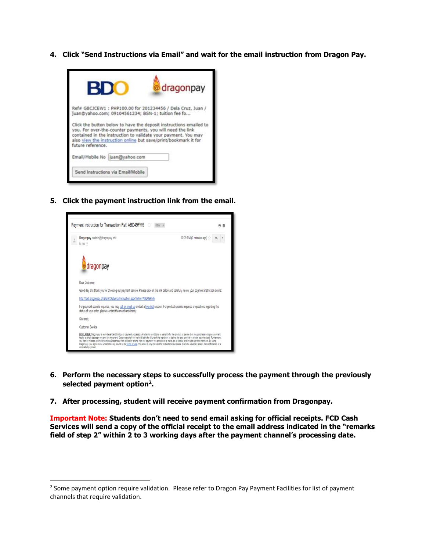**4. Click "Send Instructions via Email" and wait for the email instruction from Dragon Pay.**



**5. Click the payment instruction link from the email.**



l

- **6. Perform the necessary steps to successfully process the payment through the previously selected payment option<sup>2</sup> .**
- **7. After processing, student will receive payment confirmation from Dragonpay.**

**Important Note: Students don't need to send email asking for official receipts. FCD Cash Services will send a copy of the official receipt to the email address indicated in the "remarks field of step 2" within 2 to 3 working days after the payment channel's processing date.**

<sup>&</sup>lt;sup>2</sup> Some payment option require validation. Please refer to Dragon Pay Payment Facilities for list of payment channels that require validation.